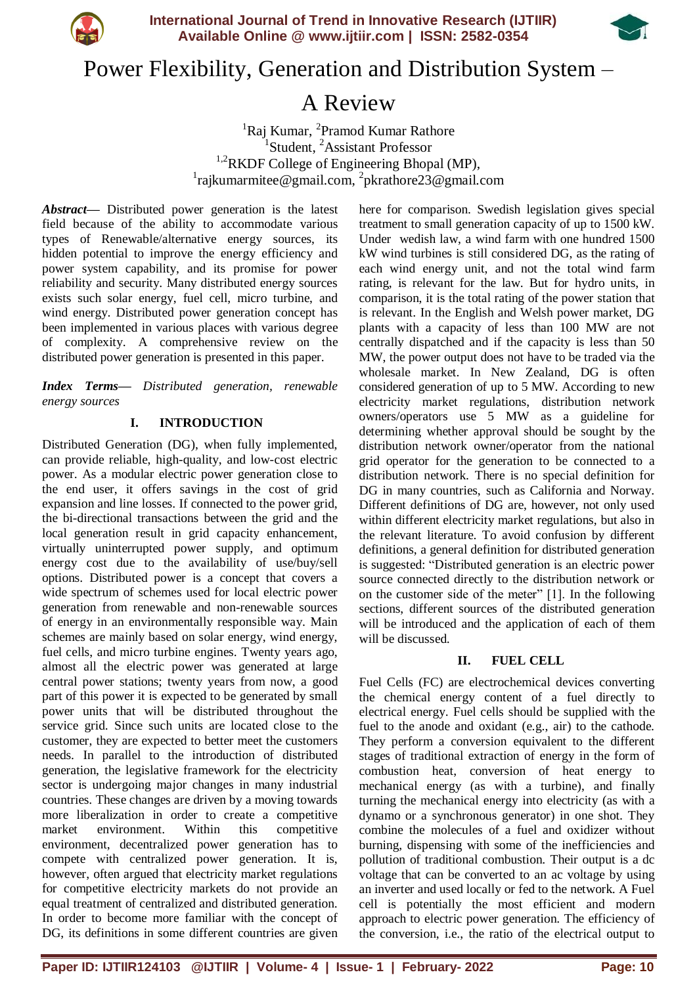



## Power Flexibility, Generation and Distribution System –

# A Review

<sup>1</sup>Raj Kumar, <sup>2</sup>Pramod Kumar Rathore <sup>1</sup>Student, <sup>2</sup>Assistant Professor <sup>1,2</sup>RKDF College of Engineering Bhopal (MP), <sup>1</sup>rajkumarmitee@gmail.com, <sup>2</sup>pkrathore23@gmail.com

*Abstract***—** Distributed power generation is the latest field because of the ability to accommodate various types of Renewable/alternative energy sources, its hidden potential to improve the energy efficiency and power system capability, and its promise for power reliability and security. Many distributed energy sources exists such solar energy, fuel cell, micro turbine, and wind energy. Distributed power generation concept has been implemented in various places with various degree of complexity. A comprehensive review on the distributed power generation is presented in this paper.

*Index Terms— Distributed generation, renewable energy sources*

## **I. INTRODUCTION**

Distributed Generation (DG), when fully implemented, can provide reliable, high-quality, and low-cost electric power. As a modular electric power generation close to the end user, it offers savings in the cost of grid expansion and line losses. If connected to the power grid, the bi-directional transactions between the grid and the local generation result in grid capacity enhancement, virtually uninterrupted power supply, and optimum energy cost due to the availability of use/buy/sell options. Distributed power is a concept that covers a wide spectrum of schemes used for local electric power generation from renewable and non-renewable sources of energy in an environmentally responsible way. Main schemes are mainly based on solar energy, wind energy, fuel cells, and micro turbine engines. Twenty years ago, almost all the electric power was generated at large central power stations; twenty years from now, a good part of this power it is expected to be generated by small power units that will be distributed throughout the service grid. Since such units are located close to the customer, they are expected to better meet the customers needs. In parallel to the introduction of distributed generation, the legislative framework for the electricity sector is undergoing major changes in many industrial countries. These changes are driven by a moving towards more liberalization in order to create a competitive market environment. Within this competitive environment, decentralized power generation has to compete with centralized power generation. It is, however, often argued that electricity market regulations for competitive electricity markets do not provide an equal treatment of centralized and distributed generation. In order to become more familiar with the concept of DG, its definitions in some different countries are given

here for comparison. Swedish legislation gives special treatment to small generation capacity of up to 1500 kW. Under wedish law, a wind farm with one hundred 1500 kW wind turbines is still considered DG, as the rating of each wind energy unit, and not the total wind farm rating, is relevant for the law. But for hydro units, in comparison, it is the total rating of the power station that is relevant. In the English and Welsh power market, DG plants with a capacity of less than 100 MW are not centrally dispatched and if the capacity is less than 50 MW, the power output does not have to be traded via the wholesale market. In New Zealand, DG is often considered generation of up to 5 MW. According to new electricity market regulations, distribution network owners/operators use 5 MW as a guideline for determining whether approval should be sought by the distribution network owner/operator from the national grid operator for the generation to be connected to a distribution network. There is no special definition for DG in many countries, such as California and Norway. Different definitions of DG are, however, not only used within different electricity market regulations, but also in the relevant literature. To avoid confusion by different definitions, a general definition for distributed generation is suggested: "Distributed generation is an electric power source connected directly to the distribution network or on the customer side of the meter" [1]. In the following sections, different sources of the distributed generation will be introduced and the application of each of them will be discussed.

#### **II. FUEL CELL**

Fuel Cells (FC) are electrochemical devices converting the chemical energy content of a fuel directly to electrical energy. Fuel cells should be supplied with the fuel to the anode and oxidant (e.g., air) to the cathode. They perform a conversion equivalent to the different stages of traditional extraction of energy in the form of combustion heat, conversion of heat energy to mechanical energy (as with a turbine), and finally turning the mechanical energy into electricity (as with a dynamo or a synchronous generator) in one shot. They combine the molecules of a fuel and oxidizer without burning, dispensing with some of the inefficiencies and pollution of traditional combustion. Their output is a dc voltage that can be converted to an ac voltage by using an inverter and used locally or fed to the network. A Fuel cell is potentially the most efficient and modern approach to electric power generation. The efficiency of the conversion, i.e., the ratio of the electrical output to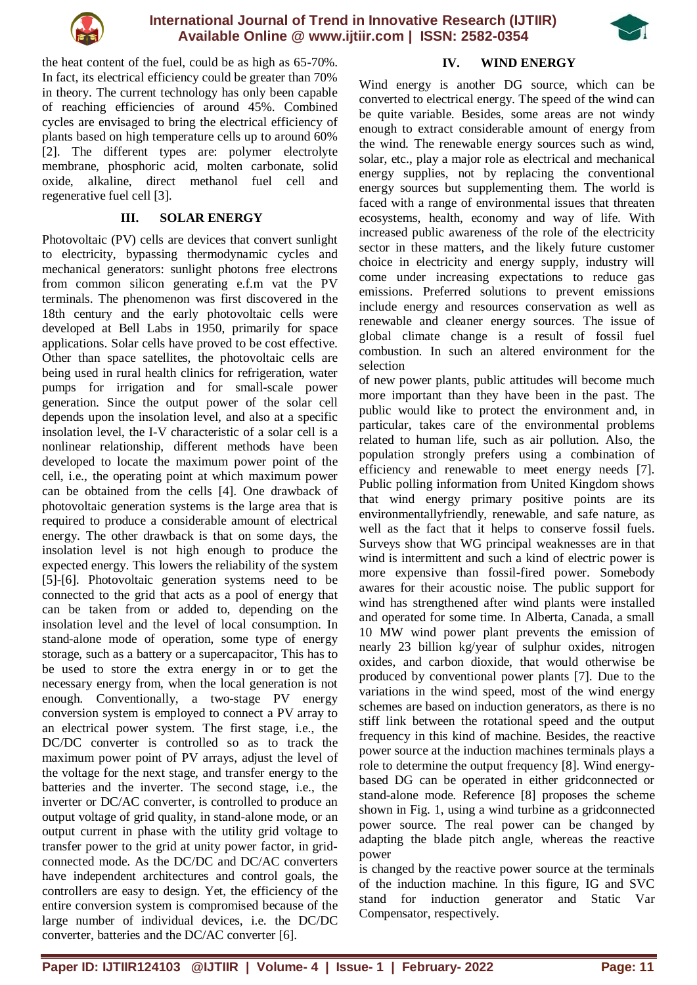



the heat content of the fuel, could be as high as 65-70%. In fact, its electrical efficiency could be greater than 70% in theory. The current technology has only been capable of reaching efficiencies of around 45%. Combined cycles are envisaged to bring the electrical efficiency of plants based on high temperature cells up to around 60% [2]. The different types are: polymer electrolyte membrane, phosphoric acid, molten carbonate, solid oxide, alkaline, direct methanol fuel cell and regenerative fuel cell [3].

## **III. SOLAR ENERGY**

Photovoltaic (PV) cells are devices that convert sunlight to electricity, bypassing thermodynamic cycles and mechanical generators: sunlight photons free electrons from common silicon generating e.f.m vat the PV terminals. The phenomenon was first discovered in the 18th century and the early photovoltaic cells were developed at Bell Labs in 1950, primarily for space applications. Solar cells have proved to be cost effective. Other than space satellites, the photovoltaic cells are being used in rural health clinics for refrigeration, water pumps for irrigation and for small-scale power generation. Since the output power of the solar cell depends upon the insolation level, and also at a specific insolation level, the I-V characteristic of a solar cell is a nonlinear relationship, different methods have been developed to locate the maximum power point of the cell, i.e., the operating point at which maximum power can be obtained from the cells [4]. One drawback of photovoltaic generation systems is the large area that is required to produce a considerable amount of electrical energy. The other drawback is that on some days, the insolation level is not high enough to produce the expected energy. This lowers the reliability of the system [5]-[6]. Photovoltaic generation systems need to be connected to the grid that acts as a pool of energy that can be taken from or added to, depending on the insolation level and the level of local consumption. In stand-alone mode of operation, some type of energy storage, such as a battery or a supercapacitor, This has to be used to store the extra energy in or to get the necessary energy from, when the local generation is not enough. Conventionally, a two-stage PV energy conversion system is employed to connect a PV array to an electrical power system. The first stage, i.e., the DC/DC converter is controlled so as to track the maximum power point of PV arrays, adjust the level of the voltage for the next stage, and transfer energy to the batteries and the inverter. The second stage, i.e., the inverter or DC/AC converter, is controlled to produce an output voltage of grid quality, in stand-alone mode, or an output current in phase with the utility grid voltage to transfer power to the grid at unity power factor, in gridconnected mode. As the DC/DC and DC/AC converters have independent architectures and control goals, the controllers are easy to design. Yet, the efficiency of the entire conversion system is compromised because of the large number of individual devices, i.e. the DC/DC converter, batteries and the DC/AC converter [6].

## **IV. WIND ENERGY**

Wind energy is another DG source, which can be converted to electrical energy. The speed of the wind can be quite variable. Besides, some areas are not windy enough to extract considerable amount of energy from the wind. The renewable energy sources such as wind, solar, etc., play a major role as electrical and mechanical energy supplies, not by replacing the conventional energy sources but supplementing them. The world is faced with a range of environmental issues that threaten ecosystems, health, economy and way of life. With increased public awareness of the role of the electricity sector in these matters, and the likely future customer choice in electricity and energy supply, industry will come under increasing expectations to reduce gas emissions. Preferred solutions to prevent emissions include energy and resources conservation as well as renewable and cleaner energy sources. The issue of global climate change is a result of fossil fuel combustion. In such an altered environment for the selection

of new power plants, public attitudes will become much more important than they have been in the past. The public would like to protect the environment and, in particular, takes care of the environmental problems related to human life, such as air pollution. Also, the population strongly prefers using a combination of efficiency and renewable to meet energy needs [7]. Public polling information from United Kingdom shows that wind energy primary positive points are its environmentallyfriendly, renewable, and safe nature, as well as the fact that it helps to conserve fossil fuels. Surveys show that WG principal weaknesses are in that wind is intermittent and such a kind of electric power is more expensive than fossil-fired power. Somebody awares for their acoustic noise. The public support for wind has strengthened after wind plants were installed and operated for some time. In Alberta, Canada, a small 10 MW wind power plant prevents the emission of nearly 23 billion kg/year of sulphur oxides, nitrogen oxides, and carbon dioxide, that would otherwise be produced by conventional power plants [7]. Due to the variations in the wind speed, most of the wind energy schemes are based on induction generators, as there is no stiff link between the rotational speed and the output frequency in this kind of machine. Besides, the reactive power source at the induction machines terminals plays a role to determine the output frequency [8]. Wind energybased DG can be operated in either gridconnected or stand-alone mode. Reference [8] proposes the scheme shown in Fig. 1, using a wind turbine as a gridconnected power source. The real power can be changed by adapting the blade pitch angle, whereas the reactive power

is changed by the reactive power source at the terminals of the induction machine. In this figure, IG and SVC stand for induction generator and Static Var Compensator, respectively.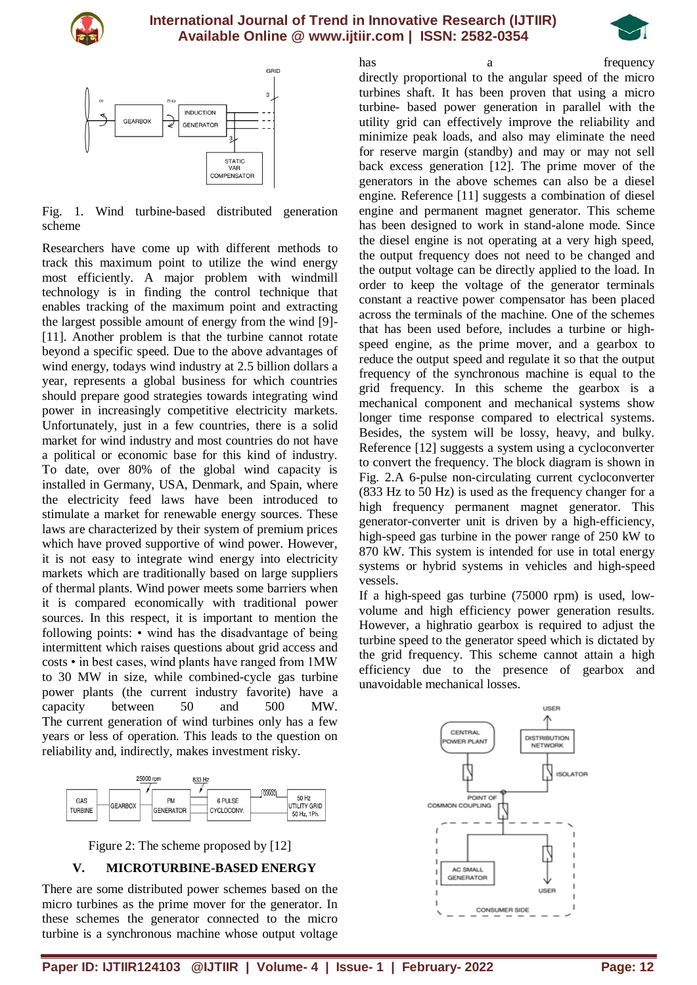





Fig. 1. Wind turbine-based distributed generation scheme

Researchers have come up with different methods to track this maximum point to utilize the wind energy most efficiently. A major problem with windmill technology is in finding the control technique that enables tracking of the maximum point and extracting the largest possible amount of energy from the wind [9]- [11]. Another problem is that the turbine cannot rotate beyond a specific speed. Due to the above advantages of wind energy, todays wind industry at 2.5 billion dollars a year, represents a global business for which countries should prepare good strategies towards integrating wind power in increasingly competitive electricity markets. Unfortunately, just in a few countries, there is a solid market for wind industry and most countries do not have a political or economic base for this kind of industry. To date, over 80% of the global wind capacity is installed in Germany, USA, Denmark, and Spain, where the electricity feed laws have been introduced to stimulate a market for renewable energy sources. These laws are characterized by their system of premium prices which have proved supportive of wind power. However, it is not easy to integrate wind energy into electricity markets which are traditionally based on large suppliers of thermal plants. Wind power meets some barriers when it is compared economically with traditional power sources. In this respect, it is important to mention the following points: • wind has the disadvantage of being intermittent which raises questions about grid access and costs • in best cases, wind plants have ranged from 1MW to 30 MW in size, while combined-cycle gas turbine power plants (the current industry favorite) have a capacity between 50 and 500 MW. The current generation of wind turbines only has a few years or less of operation. This leads to the question on reliability and, indirectly, makes investment risky.





## **V. MICROTURBINE-BASED ENERGY**

There are some distributed power schemes based on the micro turbines as the prime mover for the generator. In these schemes the generator connected to the micro turbine is a synchronous machine whose output voltage

has a frequency directly proportional to the angular speed of the micro turbines shaft. It has been proven that using a micro turbine- based power generation in parallel with the utility grid can effectively improve the reliability and minimize peak loads, and also may eliminate the need for reserve margin (standby) and may or may not sell back excess generation [12]. The prime mover of the generators in the above schemes can also be a diesel engine. Reference [11] suggests a combination of diesel engine and permanent magnet generator. This scheme has been designed to work in stand-alone mode. Since the diesel engine is not operating at a very high speed, the output frequency does not need to be changed and the output voltage can be directly applied to the load. In order to keep the voltage of the generator terminals constant a reactive power compensator has been placed across the terminals of the machine. One of the schemes that has been used before, includes a turbine or highspeed engine, as the prime mover, and a gearbox to reduce the output speed and regulate it so that the output frequency of the synchronous machine is equal to the grid frequency. In this scheme the gearbox is a mechanical component and mechanical systems show longer time response compared to electrical systems. Besides, the system will be lossy, heavy, and bulky. Reference [12] suggests a system using a cycloconverter to convert the frequency. The block diagram is shown in Fig. 2.A 6-pulse non-circulating current cycloconverter (833 Hz to 50 Hz) is used as the frequency changer for a high frequency permanent magnet generator. This generator-converter unit is driven by a high-efficiency, high-speed gas turbine in the power range of 250 kW to 870 kW. This system is intended for use in total energy systems or hybrid systems in vehicles and high-speed vessels.

If a high-speed gas turbine (75000 rpm) is used, lowvolume and high efficiency power generation results. However, a highratio gearbox is required to adjust the turbine speed to the generator speed which is dictated by the grid frequency. This scheme cannot attain a high efficiency due to the presence of gearbox and unavoidable mechanical losses.

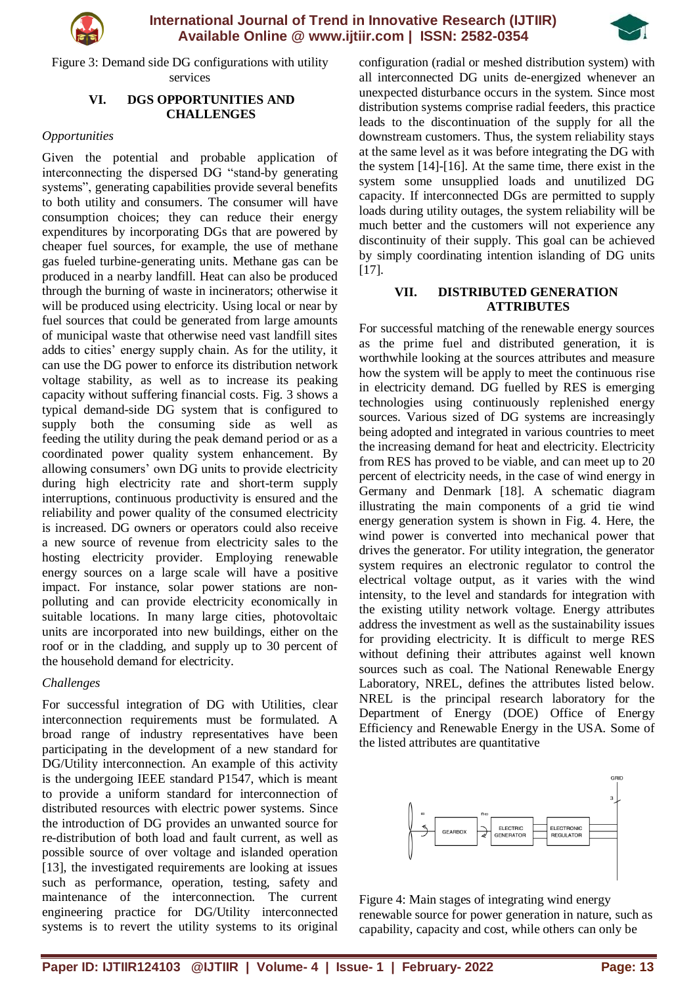

Figure 3: Demand side DG configurations with utility services

#### **VI. DGS OPPORTUNITIES AND CHALLENGES**

#### *Opportunities*

Given the potential and probable application of interconnecting the dispersed DG "stand-by generating systems", generating capabilities provide several benefits to both utility and consumers. The consumer will have consumption choices; they can reduce their energy expenditures by incorporating DGs that are powered by cheaper fuel sources, for example, the use of methane gas fueled turbine-generating units. Methane gas can be produced in a nearby landfill. Heat can also be produced through the burning of waste in incinerators; otherwise it will be produced using electricity. Using local or near by fuel sources that could be generated from large amounts of municipal waste that otherwise need vast landfill sites adds to cities' energy supply chain. As for the utility, it can use the DG power to enforce its distribution network voltage stability, as well as to increase its peaking capacity without suffering financial costs. Fig. 3 shows a typical demand-side DG system that is configured to supply both the consuming side as well as feeding the utility during the peak demand period or as a coordinated power quality system enhancement. By allowing consumers' own DG units to provide electricity during high electricity rate and short-term supply interruptions, continuous productivity is ensured and the reliability and power quality of the consumed electricity is increased. DG owners or operators could also receive a new source of revenue from electricity sales to the hosting electricity provider. Employing renewable energy sources on a large scale will have a positive impact. For instance, solar power stations are nonpolluting and can provide electricity economically in suitable locations. In many large cities, photovoltaic units are incorporated into new buildings, either on the roof or in the cladding, and supply up to 30 percent of the household demand for electricity.

#### *Challenges*

For successful integration of DG with Utilities, clear interconnection requirements must be formulated. A broad range of industry representatives have been participating in the development of a new standard for DG/Utility interconnection. An example of this activity is the undergoing IEEE standard P1547, which is meant to provide a uniform standard for interconnection of distributed resources with electric power systems. Since the introduction of DG provides an unwanted source for re-distribution of both load and fault current, as well as possible source of over voltage and islanded operation [13], the investigated requirements are looking at issues such as performance, operation, testing, safety and maintenance of the interconnection. The current engineering practice for DG/Utility interconnected systems is to revert the utility systems to its original

configuration (radial or meshed distribution system) with all interconnected DG units de-energized whenever an unexpected disturbance occurs in the system. Since most distribution systems comprise radial feeders, this practice leads to the discontinuation of the supply for all the downstream customers. Thus, the system reliability stays at the same level as it was before integrating the DG with the system [14]-[16]. At the same time, there exist in the system some unsupplied loads and unutilized DG capacity. If interconnected DGs are permitted to supply loads during utility outages, the system reliability will be much better and the customers will not experience any discontinuity of their supply. This goal can be achieved by simply coordinating intention islanding of DG units [17].

#### **VII. DISTRIBUTED GENERATION ATTRIBUTES**

For successful matching of the renewable energy sources as the prime fuel and distributed generation, it is worthwhile looking at the sources attributes and measure how the system will be apply to meet the continuous rise in electricity demand. DG fuelled by RES is emerging technologies using continuously replenished energy sources. Various sized of DG systems are increasingly being adopted and integrated in various countries to meet the increasing demand for heat and electricity. Electricity from RES has proved to be viable, and can meet up to 20 percent of electricity needs, in the case of wind energy in Germany and Denmark [18]. A schematic diagram illustrating the main components of a grid tie wind energy generation system is shown in Fig. 4. Here, the wind power is converted into mechanical power that drives the generator. For utility integration, the generator system requires an electronic regulator to control the electrical voltage output, as it varies with the wind intensity, to the level and standards for integration with the existing utility network voltage. Energy attributes address the investment as well as the sustainability issues for providing electricity. It is difficult to merge RES without defining their attributes against well known sources such as coal. The National Renewable Energy Laboratory, NREL, defines the attributes listed below. NREL is the principal research laboratory for the Department of Energy (DOE) Office of Energy Efficiency and Renewable Energy in the USA. Some of the listed attributes are quantitative



Figure 4: Main stages of integrating wind energy renewable source for power generation in nature, such as capability, capacity and cost, while others can only be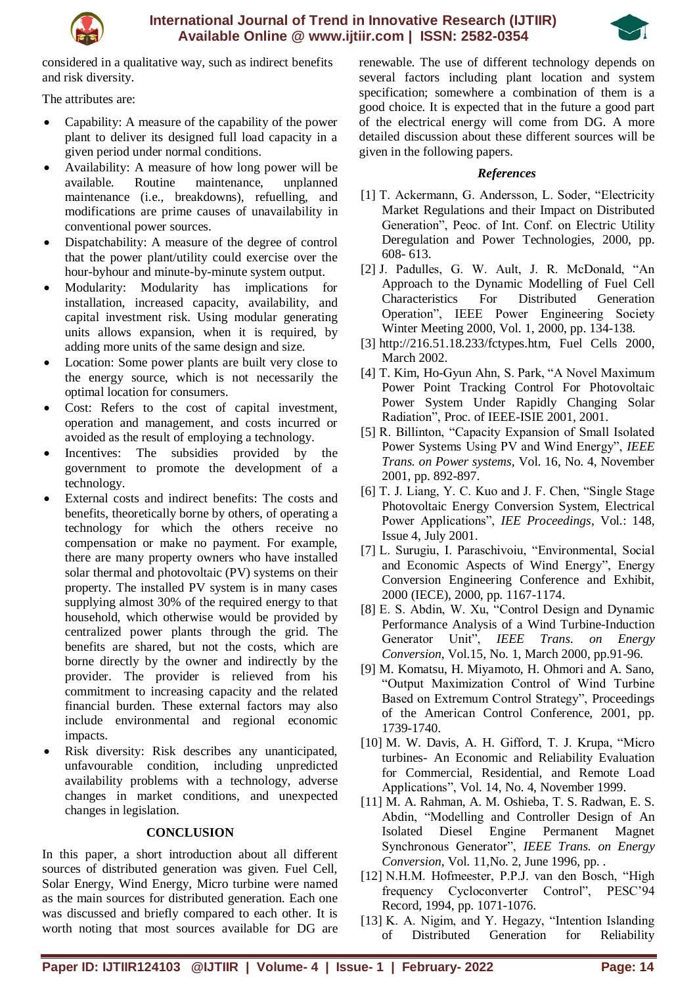



considered in a qualitative way, such as indirect benefits and risk diversity.

The attributes are:

- Capability: A measure of the capability of the power plant to deliver its designed full load capacity in a given period under normal conditions.
- Availability: A measure of how long power will be available. Routine maintenance, unplanned maintenance (i.e., breakdowns), refuelling, and modifications are prime causes of unavailability in conventional power sources.
- Dispatchability: A measure of the degree of control that the power plant/utility could exercise over the hour-byhour and minute-by-minute system output.
- Modularity: Modularity has implications for installation, increased capacity, availability, and capital investment risk. Using modular generating units allows expansion, when it is required, by adding more units of the same design and size.
- Location: Some power plants are built very close to the energy source, which is not necessarily the optimal location for consumers.
- Cost: Refers to the cost of capital investment, operation and management, and costs incurred or avoided as the result of employing a technology.
- Incentives: The subsidies provided by the government to promote the development of a technology.
- External costs and indirect benefits: The costs and benefits, theoretically borne by others, of operating a technology for which the others receive no compensation or make no payment. For example, there are many property owners who have installed solar thermal and photovoltaic (PV) systems on their property. The installed PV system is in many cases supplying almost 30% of the required energy to that household, which otherwise would be provided by centralized power plants through the grid. The benefits are shared, but not the costs, which are borne directly by the owner and indirectly by the provider. The provider is relieved from his commitment to increasing capacity and the related financial burden. These external factors may also include environmental and regional economic impacts.
- Risk diversity: Risk describes any unanticipated, unfavourable condition, including unpredicted availability problems with a technology, adverse changes in market conditions, and unexpected changes in legislation.

#### **CONCLUSION**

In this paper, a short introduction about all different sources of distributed generation was given. Fuel Cell, Solar Energy, Wind Energy, Micro turbine were named as the main sources for distributed generation. Each one was discussed and briefly compared to each other. It is worth noting that most sources available for DG are

renewable. The use of different technology depends on several factors including plant location and system specification; somewhere a combination of them is a good choice. It is expected that in the future a good part of the electrical energy will come from DG. A more detailed discussion about these different sources will be given in the following papers.

## *References*

- [1] T. Ackermann, G. Andersson, L. Soder, "Electricity Market Regulations and their Impact on Distributed Generation", Peoc. of Int. Conf. on Electric Utility Deregulation and Power Technologies, 2000, pp. 608- 613.
- [2] J. Padulles, G. W. Ault, J. R. McDonald, "An Approach to the Dynamic Modelling of Fuel Cell Characteristics For Distributed Generation Operation", IEEE Power Engineering Society Winter Meeting 2000, Vol. 1, 2000, pp. 134-138.
- [3] http://216.51.18.233/fctypes.htm, Fuel Cells 2000, March 2002.
- [4] T. Kim, Ho-Gyun Ahn, S. Park, "A Novel Maximum Power Point Tracking Control For Photovoltaic Power System Under Rapidly Changing Solar Radiation", Proc. of IEEE-ISIE 2001, 2001.
- [5] R. Billinton, "Capacity Expansion of Small Isolated Power Systems Using PV and Wind Energy", *IEEE Trans. on Power systems*, Vol. 16, No. 4, November 2001, pp. 892-897.
- [6] T. J. Liang, Y. C. Kuo and J. F. Chen, "Single Stage Photovoltaic Energy Conversion System, Electrical Power Applications", *IEE Proceedings*, Vol.: 148, Issue 4, July 2001.
- [7] L. Surugiu, I. Paraschivoiu, "Environmental, Social and Economic Aspects of Wind Energy", Energy Conversion Engineering Conference and Exhibit, 2000 (IECE), 2000, pp. 1167-1174.
- [8] E. S. Abdin, W. Xu, "Control Design and Dynamic Performance Analysis of a Wind Turbine-Induction Generator Unit", *IEEE Trans. on Energy Conversion*, Vol.15, No. 1, March 2000, pp.91-96.
- [9] M. Komatsu, H. Miyamoto, H. Ohmori and A. Sano, "Output Maximization Control of Wind Turbine Based on Extremum Control Strategy", Proceedings of the American Control Conference, 2001, pp. 1739-1740.
- [10] M. W. Davis, A. H. Gifford, T. J. Krupa, "Micro turbines- An Economic and Reliability Evaluation for Commercial, Residential, and Remote Load Applications", Vol. 14, No. 4, November 1999.
- [11] M. A. Rahman, A. M. Oshieba, T. S. Radwan, E. S. Abdin, "Modelling and Controller Design of An Isolated Diesel Engine Permanent Magnet Synchronous Generator", *IEEE Trans. on Energy Conversion*, Vol. 11,No. 2, June 1996, pp. .
- [12] N.H.M. Hofmeester, P.P.J. van den Bosch, "High frequency Cycloconverter Control", PESC'94 Record, 1994, pp. 1071-1076.
- [13] K. A. Nigim, and Y. Hegazy, "Intention Islanding of Distributed Generation for Reliability

**Paper ID: IJTIIR124103 @IJTIIR | Volume- 4 | Issue- 1 | February- 2022 Page: 14**